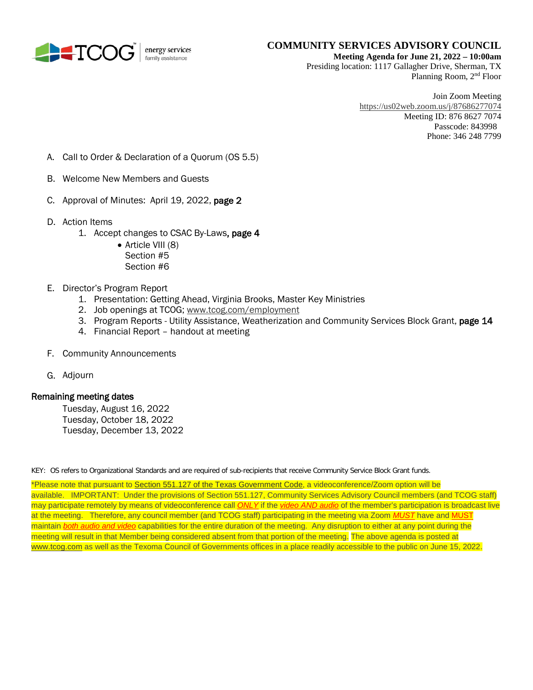

#### **COMMUNITY SERVICES ADVISORY COUNCIL Meeting Agenda for June 21, 2022 – 10:00am**

Presiding location: 1117 Gallagher Drive, Sherman, TX Planning Room, 2nd Floor

> Join Zoom Meeting <https://us02web.zoom.us/j/87686277074> Meeting ID: 876 8627 7074 Passcode: 843998 Phone: 346 248 7799

- A. Call to Order & Declaration of a Quorum (OS 5.5)
- B. Welcome New Members and Guests
- C. Approval of Minutes: April 19, 2022, page 2
- D. Action Items
	- 1. Accept changes to CSAC By-Laws, page 4
		- Article VIII (8) Section #5 Section #6
- E. Director's Program Report
	- 1. Presentation: Getting Ahead, Virginia Brooks, Master Key Ministries
	- 2. Job openings at TCOG[; www.tcog.com/employment](http://www.tcog.com/employment)
	- 3. Program Reports Utility Assistance, Weatherization and Community Services Block Grant, page 14
	- 4. Financial Report handout at meeting
- F. Community Announcements
- G. Adjourn

#### Remaining meeting dates

Tuesday, August 16, 2022 Tuesday, October 18, 2022 Tuesday, December 13, 2022

KEY: OS refers to Organizational Standards and are required of sub-recipients that receive Community Service Block Grant funds.

\*Please note that pursuant t[o Section 551.127 of the Texas Government Code,](https://statutes.capitol.texas.gov/Docs/GV/htm/GV.551.htm#551.127) a videoconference/Zoom option will be available. IMPORTANT: Under the provisions of Section 551.127, Community Services Advisory Council members (and TCOG staff) may participate remotely by means of videoconference call *ONLY* if the *video AND audio* of the member's participation is broadcast live at the meeting. Therefore, any council member (and TCOG staff) participating in the meeting via Zoom *MUST* have and MUST maintain *both audio and video* capabilities for the entire duration of the meeting. Any disruption to either at any point during the meeting will result in that Member being considered absent from that portion of the meeting. The above agenda is posted at [www.tcog.com](http://www.tcog.com/) as well as the Texoma Council of Governments offices in a place readily accessible to the public on June 15, 2022.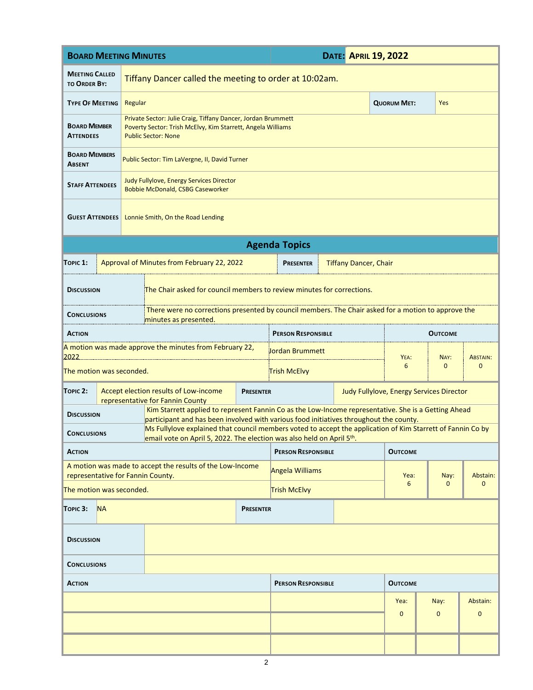| <b>BOARD MEETING MINUTES</b>                                                                   |                                                                                                                              |                                                                                                                                                                                                |                  | <b>DATE: APRIL 19, 2022</b>              |                 |                              |                    |                |                 |  |  |
|------------------------------------------------------------------------------------------------|------------------------------------------------------------------------------------------------------------------------------|------------------------------------------------------------------------------------------------------------------------------------------------------------------------------------------------|------------------|------------------------------------------|-----------------|------------------------------|--------------------|----------------|-----------------|--|--|
| <b>MEETING CALLED</b><br><b>TO ORDER BY:</b>                                                   |                                                                                                                              | Tiffany Dancer called the meeting to order at 10:02am.                                                                                                                                         |                  |                                          |                 |                              |                    |                |                 |  |  |
| <b>TYPE OF MEETING</b>                                                                         |                                                                                                                              | Regular                                                                                                                                                                                        |                  |                                          |                 |                              | <b>QUORUM MET:</b> | <b>Yes</b>     |                 |  |  |
| <b>BOARD MEMBER</b><br><b>ATTENDEES</b>                                                        |                                                                                                                              | Private Sector: Julie Craig, Tiffany Dancer, Jordan Brummett<br>Poverty Sector: Trish McElvy, Kim Starrett, Angela Williams<br><b>Public Sector: None</b>                                      |                  |                                          |                 |                              |                    |                |                 |  |  |
| <b>BOARD MEMBERS</b><br><b>ABSENT</b>                                                          |                                                                                                                              | Public Sector: Tim LaVergne, II, David Turner                                                                                                                                                  |                  |                                          |                 |                              |                    |                |                 |  |  |
| <b>STAFF ATTENDEES</b>                                                                         |                                                                                                                              | Judy Fullylove, Energy Services Director<br><b>Bobbie McDonald, CSBG Caseworker</b>                                                                                                            |                  |                                          |                 |                              |                    |                |                 |  |  |
| <b>GUEST ATTENDEES</b>                                                                         | Lonnie Smith, On the Road Lending                                                                                            |                                                                                                                                                                                                |                  |                                          |                 |                              |                    |                |                 |  |  |
| <b>Agenda Topics</b>                                                                           |                                                                                                                              |                                                                                                                                                                                                |                  |                                          |                 |                              |                    |                |                 |  |  |
| TOPIC 1:                                                                                       |                                                                                                                              | Approval of Minutes from February 22, 2022                                                                                                                                                     |                  | <b>PRESENTER</b>                         |                 | <b>Tiffany Dancer, Chair</b> |                    |                |                 |  |  |
| <b>DISCUSSION</b>                                                                              | The Chair asked for council members to review minutes for corrections.                                                       |                                                                                                                                                                                                |                  |                                          |                 |                              |                    |                |                 |  |  |
| <b>CONCLUSIONS</b>                                                                             | There were no corrections presented by council members. The Chair asked for a motion to approve the<br>minutes as presented. |                                                                                                                                                                                                |                  |                                          |                 |                              |                    |                |                 |  |  |
| <b>ACTION</b>                                                                                  |                                                                                                                              |                                                                                                                                                                                                |                  | <b>PERSON RESPONSIBLE</b>                |                 |                              |                    | <b>OUTCOME</b> |                 |  |  |
| 2022                                                                                           |                                                                                                                              | A motion was made approve the minutes from February 22,                                                                                                                                        |                  |                                          | Jordan Brummett |                              |                    | NAY:           | <b>ABSTAIN:</b> |  |  |
| The motion was seconded.                                                                       |                                                                                                                              |                                                                                                                                                                                                |                  | Trish McElvy                             |                 |                              | YEA:<br>6          | $\Omega$       | $\Omega$        |  |  |
| TOPIC <sub>2</sub> :                                                                           |                                                                                                                              | Accept election results of Low-income<br>representative for Fannin County                                                                                                                      | <b>PRESENTER</b> | Judy Fullylove, Energy Services Director |                 |                              |                    |                |                 |  |  |
| <b>DISCUSSION</b>                                                                              |                                                                                                                              | Kim Starrett applied to represent Fannin Co as the Low-Income representative. She is a Getting Ahead<br>participant and has been involved with various food initiatives throughout the county. |                  |                                          |                 |                              |                    |                |                 |  |  |
| <b>CONCLUSIONS</b>                                                                             |                                                                                                                              | Ms Fullylove explained that council members voted to accept the application of Kim Starrett of Fannin Co by<br>email vote on April 5, 2022. The election was also held on April $5th$ .        |                  |                                          |                 |                              |                    |                |                 |  |  |
| <b>ACTION</b>                                                                                  |                                                                                                                              |                                                                                                                                                                                                |                  | <b>PERSON RESPONSIBLE</b>                |                 |                              | <b>OUTCOME</b>     |                |                 |  |  |
| A motion was made to accept the results of the Low-Income<br>representative for Fannin County. |                                                                                                                              |                                                                                                                                                                                                |                  | <b>Angela Williams</b>                   |                 |                              | Yea:               | Nay:           | Abstain:        |  |  |
| The motion was seconded.                                                                       |                                                                                                                              |                                                                                                                                                                                                |                  | <b>Trish McElvy</b>                      |                 |                              | 6                  | $\mathbf{0}$   | $\mathbf{0}$    |  |  |
| <b>NA</b><br>TOPIC 3:                                                                          |                                                                                                                              |                                                                                                                                                                                                | <b>PRESENTER</b> |                                          |                 |                              |                    |                |                 |  |  |
| <b>DISCUSSION</b>                                                                              |                                                                                                                              |                                                                                                                                                                                                |                  |                                          |                 |                              |                    |                |                 |  |  |
| <b>CONCLUSIONS</b>                                                                             |                                                                                                                              |                                                                                                                                                                                                |                  |                                          |                 |                              |                    |                |                 |  |  |
| <b>ACTION</b>                                                                                  |                                                                                                                              |                                                                                                                                                                                                |                  | <b>PERSON RESPONSIBLE</b>                |                 |                              | <b>OUTCOME</b>     |                |                 |  |  |
|                                                                                                |                                                                                                                              |                                                                                                                                                                                                |                  |                                          |                 |                              | Yea:               | Nay:           | Abstain:        |  |  |
|                                                                                                |                                                                                                                              |                                                                                                                                                                                                |                  |                                          |                 |                              | $\mathbf{0}$       | $\mathbf{0}$   | $\mathbf{0}$    |  |  |
|                                                                                                |                                                                                                                              |                                                                                                                                                                                                |                  |                                          |                 |                              |                    |                |                 |  |  |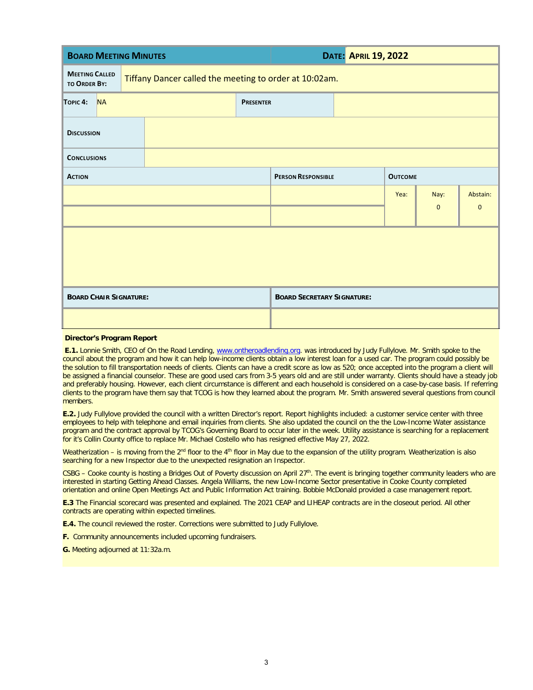| <b>BOARD MEETING MINUTES</b>                                                                           |           |  |  |                                   | <b>DATE: APRIL 19, 2022</b> |      |              |              |  |
|--------------------------------------------------------------------------------------------------------|-----------|--|--|-----------------------------------|-----------------------------|------|--------------|--------------|--|
| <b>MEETING CALLED</b><br>Tiffany Dancer called the meeting to order at 10:02am.<br><b>TO ORDER BY:</b> |           |  |  |                                   |                             |      |              |              |  |
| TOPIC <sub>4</sub> :                                                                                   | <b>NA</b> |  |  | <b>PRESENTER</b>                  |                             |      |              |              |  |
| <b>DISCUSSION</b>                                                                                      |           |  |  |                                   |                             |      |              |              |  |
| <b>CONCLUSIONS</b>                                                                                     |           |  |  |                                   |                             |      |              |              |  |
| <b>ACTION</b>                                                                                          |           |  |  | <b>PERSON RESPONSIBLE</b>         | <b>OUTCOME</b>              |      |              |              |  |
|                                                                                                        |           |  |  |                                   |                             | Yea: | Nay:         | Abstain:     |  |
|                                                                                                        |           |  |  |                                   |                             |      | $\mathbf{0}$ | $\mathbf{0}$ |  |
|                                                                                                        |           |  |  |                                   |                             |      |              |              |  |
|                                                                                                        |           |  |  |                                   |                             |      |              |              |  |
|                                                                                                        |           |  |  |                                   |                             |      |              |              |  |
| <b>BOARD CHAIR SIGNATURE:</b>                                                                          |           |  |  | <b>BOARD SECRETARY SIGNATURE:</b> |                             |      |              |              |  |
|                                                                                                        |           |  |  |                                   |                             |      |              |              |  |

#### **Director's Program Report**

**E.1.** Lonnie Smith, CEO of On the Road Lending, [www.ontheroadlending.org.](http://www.ontheroadlending.org/) was introduced by Judy Fullylove. Mr. Smith spoke to the council about the program and how it can help low-income clients obtain a low interest loan for a used car. The program could possibly be the solution to fill transportation needs of clients. Clients can have a credit score as low as 520; once accepted into the program a client will be assigned a financial counselor. These are good used cars from 3-5 years old and are still under warranty. Clients should have a steady job and preferably housing. However, each client circumstance is different and each household is considered on a case-by-case basis. If referring clients to the program have them say that TCOG is how they learned about the program. Mr. Smith answered several questions from council members.

**E.2.** Judy Fullylove provided the council with a written Director's report. Report highlights included: a customer service center with three employees to help with telephone and email inquiries from clients. She also updated the council on the the Low-Income Water assistance program and the contract approval by TCOG's Governing Board to occur later in the week. Utility assistance is searching for a replacement for it's Collin County office to replace Mr. Michael Costello who has resigned effective May 27, 2022.

Weatherization – is moving from the 2<sup>nd</sup> floor to the 4<sup>th</sup> floor in May due to the expansion of the utility program. Weatherization is also searching for a new Inspector due to the unexpected resignation an Inspector.

CSBG – Cooke county is hosting a Bridges Out of Poverty discussion on April 27<sup>th</sup>. The event is bringing together community leaders who are interested in starting Getting Ahead Classes. Angela Williams, the new Low-Income Sector presentative in Cooke County completed orientation and online Open Meetings Act and Public Information Act training. Bobbie McDonald provided a case management report.

**E.3** The Financial scorecard was presented and explained. The 2021 CEAP and LIHEAP contracts are in the closeout period. All other contracts are operating within expected timelines.

**E.4.** The council reviewed the roster. Corrections were submitted to Judy Fullylove.

**F.** Community announcements included upcoming fundraisers.

**G.** Meeting adjourned at 11:32a.m.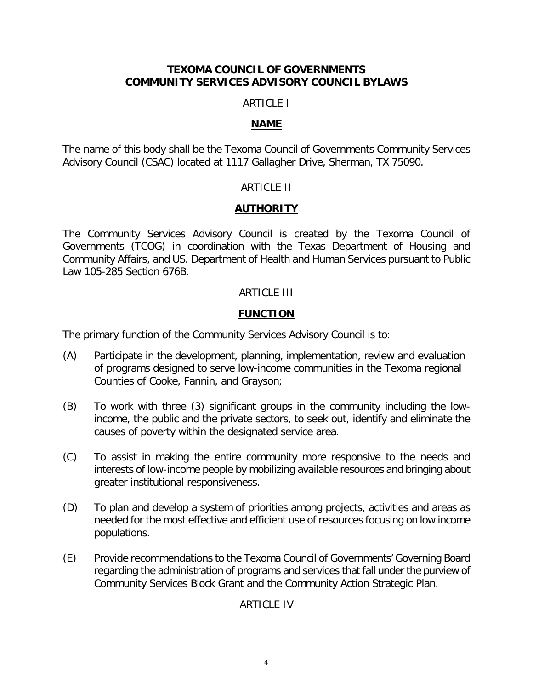#### **TEXOMA COUNCIL OF GOVERNMENTS COMMUNITY SERVICES ADVISORY COUNCIL BYLAWS**

#### ARTICLE I

#### **NAME**

The name of this body shall be the Texoma Council of Governments Community Services Advisory Council (CSAC) located at 1117 Gallagher Drive, Sherman, TX 75090.

#### ARTICLE II

### **AUTHORITY**

The Community Services Advisory Council is created by the Texoma Council of Governments (TCOG) in coordination with the Texas Department of Housing and Community Affairs, and US. Department of Health and Human Services pursuant to Public Law 105-285 Section 676B.

### ARTICLE III

#### **FUNCTION**

The primary function of the Community Services Advisory Council is to:

- (A) Participate in the development, planning, implementation, review and evaluation of programs designed to serve low-income communities in the Texoma regional Counties of Cooke, Fannin, and Grayson;
- (B) To work with three (3) significant groups in the community including the lowincome, the public and the private sectors, to seek out, identify and eliminate the causes of poverty within the designated service area.
- (C) To assist in making the entire community more responsive to the needs and interests of low-income people by mobilizing available resources and bringing about greater institutional responsiveness.
- (D) To plan and develop a system of priorities among projects, activities and areas as needed for the most effective and efficient use of resources focusing on low income populations.
- (E) Provide recommendations to the Texoma Council of Governments' Governing Board regarding the administration of programs and services that fall under the purview of Community Services Block Grant and the Community Action Strategic Plan.

### ARTICLE IV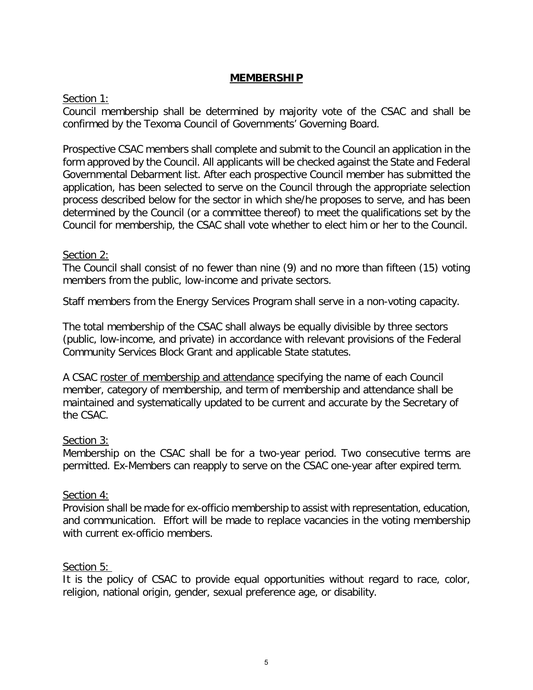### **MEMBERSHIP**

### Section 1:

Council membership shall be determined by majority vote of the CSAC and shall be confirmed by the Texoma Council of Governments' Governing Board.

Prospective CSAC members shall complete and submit to the Council an application in the form approved by the Council. All applicants will be checked against the State and Federal Governmental Debarment list. After each prospective Council member has submitted the application, has been selected to serve on the Council through the appropriate selection process described below for the sector in which she/he proposes to serve, and has been determined by the Council (or a committee thereof) to meet the qualifications set by the Council for membership, the CSAC shall vote whether to elect him or her to the Council.

### Section 2:

The Council shall consist of no fewer than nine (9) and no more than fifteen (15) voting members from the public, low-income and private sectors.

Staff members from the Energy Services Program shall serve in a non-voting capacity.

The total membership of the CSAC shall always be equally divisible by three sectors (public, low-income, and private) in accordance with relevant provisions of the Federal Community Services Block Grant and applicable State statutes.

A CSAC roster of membership and attendance specifying the name of each Council member, category of membership, and term of membership and attendance shall be maintained and systematically updated to be current and accurate by the Secretary of the CSAC.

#### Section 3:

Membership on the CSAC shall be for a two-year period. Two consecutive terms are permitted. Ex-Members can reapply to serve on the CSAC one-year after expired term.

#### Section 4:

Provision shall be made for ex-officio membership to assist with representation, education, and communication. Effort will be made to replace vacancies in the voting membership with current ex-officio members.

#### Section 5:

It is the policy of CSAC to provide equal opportunities without regard to race, color, religion, national origin, gender, sexual preference age, or disability.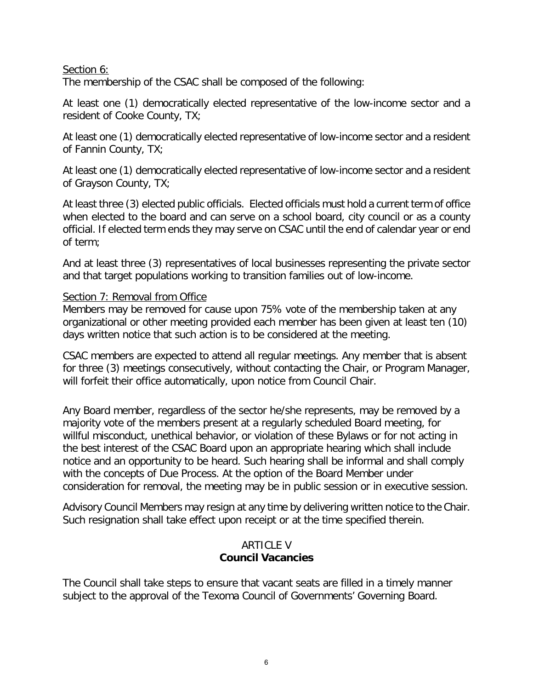### Section 6:

The membership of the CSAC shall be composed of the following:

At least one (1) democratically elected representative of the low-income sector and a resident of Cooke County, TX;

At least one (1) democratically elected representative of low-income sector and a resident of Fannin County, TX;

At least one (1) democratically elected representative of low-income sector and a resident of Grayson County, TX;

At least three (3) elected public officials. Elected officials must hold a current term of office when elected to the board and can serve on a school board, city council or as a county official. If elected term ends they may serve on CSAC until the end of calendar year or end of term;

And at least three (3) representatives of local businesses representing the private sector and that target populations working to transition families out of low-income.

#### Section 7: Removal from Office

Members may be removed for cause upon 75% vote of the membership taken at any organizational or other meeting provided each member has been given at least ten (10) days written notice that such action is to be considered at the meeting.

CSAC members are expected to attend all regular meetings. Any member that is absent for three (3) meetings consecutively, without contacting the Chair, or Program Manager, will forfeit their office automatically, upon notice from Council Chair.

Any Board member, regardless of the sector he/she represents, may be removed by a majority vote of the members present at a regularly scheduled Board meeting, for willful misconduct, unethical behavior, or violation of these Bylaws or for not acting in the best interest of the CSAC Board upon an appropriate hearing which shall include notice and an opportunity to be heard. Such hearing shall be informal and shall comply with the concepts of Due Process. At the option of the Board Member under consideration for removal, the meeting may be in public session or in executive session.

Advisory Council Members may resign at any time by delivering written notice to the Chair. Such resignation shall take effect upon receipt or at the time specified therein.

### ARTICLE V **Council Vacancies**

The Council shall take steps to ensure that vacant seats are filled in a timely manner subject to the approval of the Texoma Council of Governments' Governing Board.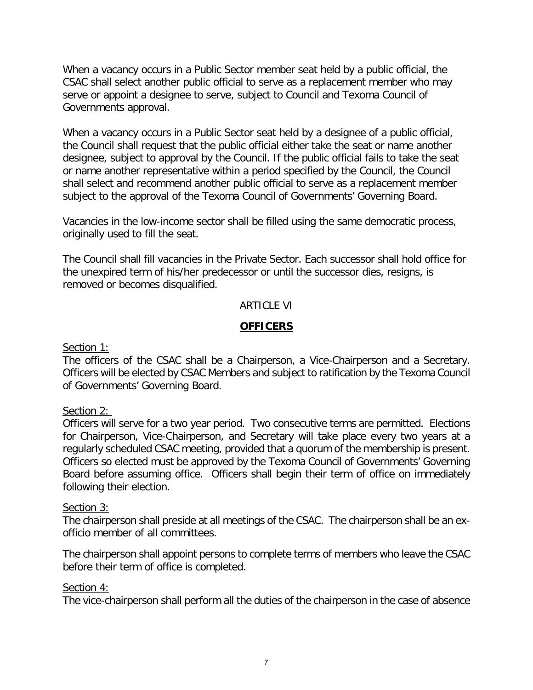When a vacancy occurs in a Public Sector member seat held by a public official, the CSAC shall select another public official to serve as a replacement member who may serve or appoint a designee to serve, subject to Council and Texoma Council of Governments approval.

When a vacancy occurs in a Public Sector seat held by a designee of a public official, the Council shall request that the public official either take the seat or name another designee, subject to approval by the Council. If the public official fails to take the seat or name another representative within a period specified by the Council, the Council shall select and recommend another public official to serve as a replacement member subject to the approval of the Texoma Council of Governments' Governing Board.

Vacancies in the low-income sector shall be filled using the same democratic process, originally used to fill the seat.

The Council shall fill vacancies in the Private Sector. Each successor shall hold office for the unexpired term of his/her predecessor or until the successor dies, resigns, is removed or becomes disqualified.

### ARTICLE VI

### **OFFICERS**

#### Section 1:

The officers of the CSAC shall be a Chairperson, a Vice-Chairperson and a Secretary. Officers will be elected by CSAC Members and subject to ratification by the Texoma Council of Governments' Governing Board.

### Section 2:

Officers will serve for a two year period. Two consecutive terms are permitted. Elections for Chairperson, Vice-Chairperson, and Secretary will take place every two years at a regularly scheduled CSAC meeting, provided that a quorum of the membership is present. Officers so elected must be approved by the Texoma Council of Governments' Governing Board before assuming office. Officers shall begin their term of office on immediately following their election.

#### Section 3:

The chairperson shall preside at all meetings of the CSAC. The chairperson shall be an exofficio member of all committees.

The chairperson shall appoint persons to complete terms of members who leave the CSAC before their term of office is completed.

### Section 4:

The vice-chairperson shall perform all the duties of the chairperson in the case of absence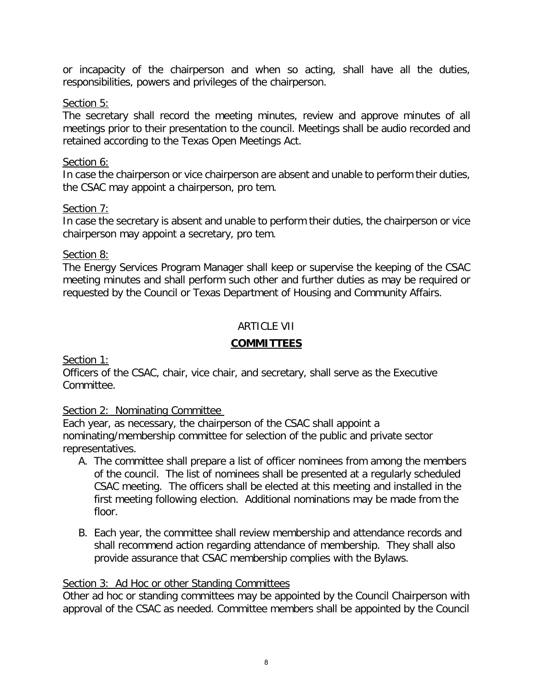or incapacity of the chairperson and when so acting, shall have all the duties, responsibilities, powers and privileges of the chairperson.

### Section 5:

The secretary shall record the meeting minutes, review and approve minutes of all meetings prior to their presentation to the council. Meetings shall be audio recorded and retained according to the Texas Open Meetings Act.

#### Section 6:

In case the chairperson or vice chairperson are absent and unable to perform their duties, the CSAC may appoint a chairperson, pro tem.

### Section 7:

In case the secretary is absent and unable to perform their duties, the chairperson or vice chairperson may appoint a secretary, pro tem.

Section 8:

The Energy Services Program Manager shall keep or supervise the keeping of the CSAC meeting minutes and shall perform such other and further duties as may be required or requested by the Council or Texas Department of Housing and Community Affairs.

### ARTICLE VII

### **COMMITTEES**

Section 1:

Officers of the CSAC, chair, vice chair, and secretary, shall serve as the Executive Committee.

### Section 2: Nominating Committee

Each year, as necessary, the chairperson of the CSAC shall appoint a nominating/membership committee for selection of the public and private sector representatives.

- A. The committee shall prepare a list of officer nominees from among the members of the council. The list of nominees shall be presented at a regularly scheduled CSAC meeting. The officers shall be elected at this meeting and installed in the first meeting following election. Additional nominations may be made from the floor.
- B. Each year, the committee shall review membership and attendance records and shall recommend action regarding attendance of membership. They shall also provide assurance that CSAC membership complies with the Bylaws.

### Section 3: Ad Hoc or other Standing Committees

Other ad hoc or standing committees may be appointed by the Council Chairperson with approval of the CSAC as needed. Committee members shall be appointed by the Council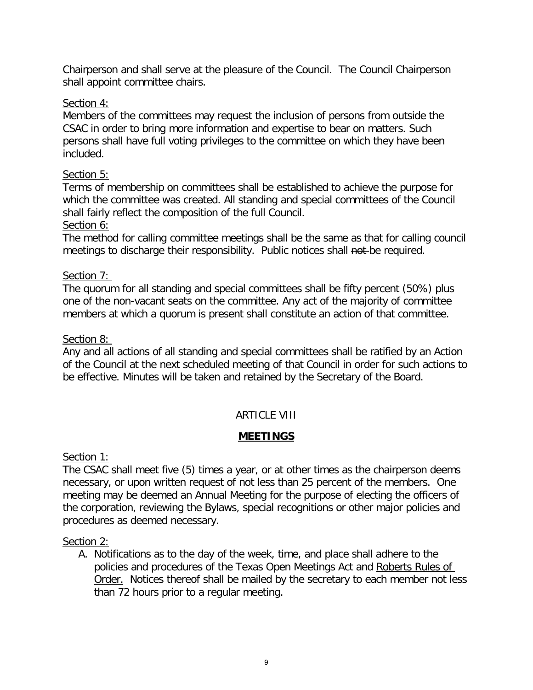Chairperson and shall serve at the pleasure of the Council. The Council Chairperson shall appoint committee chairs.

# Section 4:

Members of the committees may request the inclusion of persons from outside the CSAC in order to bring more information and expertise to bear on matters. Such persons shall have full voting privileges to the committee on which they have been included.

# Section 5:

Terms of membership on committees shall be established to achieve the purpose for which the committee was created. All standing and special committees of the Council shall fairly reflect the composition of the full Council.

Section 6:

The method for calling committee meetings shall be the same as that for calling council meetings to discharge their responsibility. Public notices shall not be required.

# Section 7:

The quorum for all standing and special committees shall be fifty percent (50%) plus one of the non-vacant seats on the committee. Any act of the majority of committee members at which a quorum is present shall constitute an action of that committee.

# Section 8:

Any and all actions of all standing and special committees shall be ratified by an Action of the Council at the next scheduled meeting of that Council in order for such actions to be effective. Minutes will be taken and retained by the Secretary of the Board.

# ARTICLE VIII

# **MEETINGS**

Section 1:

The CSAC shall meet five (5) times a year, or at other times as the chairperson deems necessary, or upon written request of not less than 25 percent of the members. One meeting may be deemed an Annual Meeting for the purpose of electing the officers of the corporation, reviewing the Bylaws, special recognitions or other major policies and procedures as deemed necessary.

### Section 2:

A. Notifications as to the day of the week, time, and place shall adhere to the policies and procedures of the Texas Open Meetings Act and Roberts Rules of Order. Notices thereof shall be mailed by the secretary to each member not less than 72 hours prior to a regular meeting.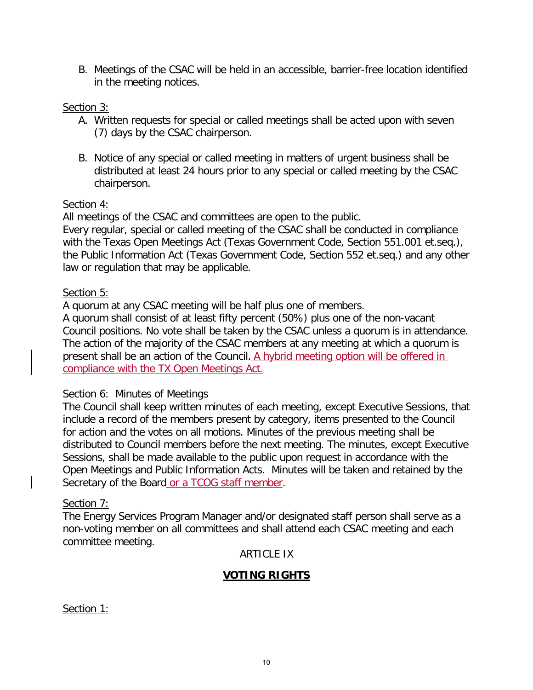B. Meetings of the CSAC will be held in an accessible, barrier-free location identified in the meeting notices.

### Section 3:

- A. Written requests for special or called meetings shall be acted upon with seven (7) days by the CSAC chairperson.
- B. Notice of any special or called meeting in matters of urgent business shall be distributed at least 24 hours prior to any special or called meeting by the CSAC chairperson.

#### Section 4:

All meetings of the CSAC and committees are open to the public.

Every regular, special or called meeting of the CSAC shall be conducted in compliance with the Texas Open Meetings Act (Texas Government Code, Section 551.001 et.seq.), the Public Information Act (Texas Government Code, Section 552 et.seq.) and any other law or regulation that may be applicable.

#### Section 5:

A quorum at any CSAC meeting will be half plus one of members.

A quorum shall consist of at least fifty percent (50%) plus one of the non-vacant Council positions. No vote shall be taken by the CSAC unless a quorum is in attendance. The action of the majority of the CSAC members at any meeting at which a quorum is present shall be an action of the Council. A hybrid meeting option will be offered in compliance with the TX Open Meetings Act.

#### Section 6: Minutes of Meetings

The Council shall keep written minutes of each meeting, except Executive Sessions, that include a record of the members present by category, items presented to the Council for action and the votes on all motions. Minutes of the previous meeting shall be distributed to Council members before the next meeting. The minutes, except Executive Sessions, shall be made available to the public upon request in accordance with the Open Meetings and Public Information Acts. Minutes will be taken and retained by the Secretary of the Board or a TCOG staff member.

#### Section 7:

The Energy Services Program Manager and/or designated staff person shall serve as a non-voting member on all committees and shall attend each CSAC meeting and each committee meeting.

#### ARTICLE IX

#### **VOTING RIGHTS**

Section 1: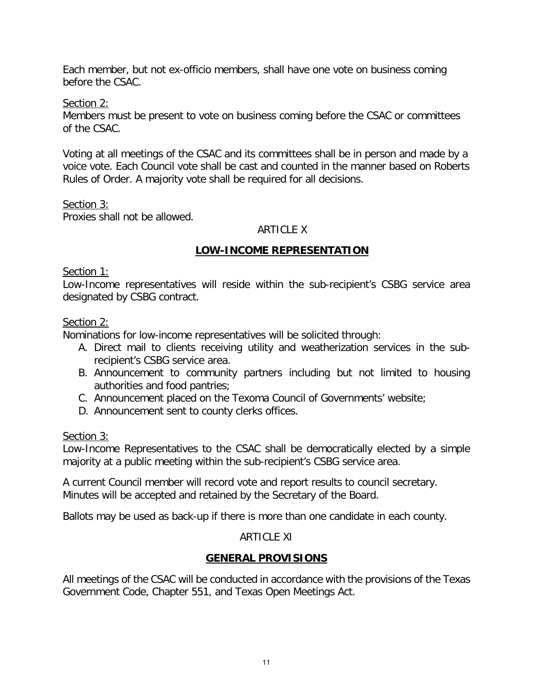Each member, but not ex-officio members, shall have one vote on business coming before the CSAC.

Section 2:

Members must be present to vote on business coming before the CSAC or committees of the CSAC.

Voting at all meetings of the CSAC and its committees shall be in person and made by a voice vote. Each Council vote shall be cast and counted in the manner based on Roberts Rules of Order. A majority vote shall be required for all decisions.

Section 3:

Proxies shall not be allowed.

# ARTICLE X

# **LOW-INCOME REPRESENTATION**

Section 1:

Low-Income representatives will reside within the sub-recipient's CSBG service area designated by CSBG contract.

### Section 2:

Nominations for low-income representatives will be solicited through:

- A. Direct mail to clients receiving utility and weatherization services in the subrecipient's CSBG service area.
- B. Announcement to community partners including but not limited to housing authorities and food pantries;
- C. Announcement placed on the Texoma Council of Governments' website;
- D. Announcement sent to county clerks offices.

Section 3:

Low-Income Representatives to the CSAC shall be democratically elected by a simple majority at a public meeting within the sub-recipient's CSBG service area.

A current Council member will record vote and report results to council secretary. Minutes will be accepted and retained by the Secretary of the Board.

Ballots may be used as back-up if there is more than one candidate in each county.

# ARTICLE XI

# **GENERAL PROVISIONS**

All meetings of the CSAC will be conducted in accordance with the provisions of the Texas Government Code, Chapter 551, and Texas Open Meetings Act.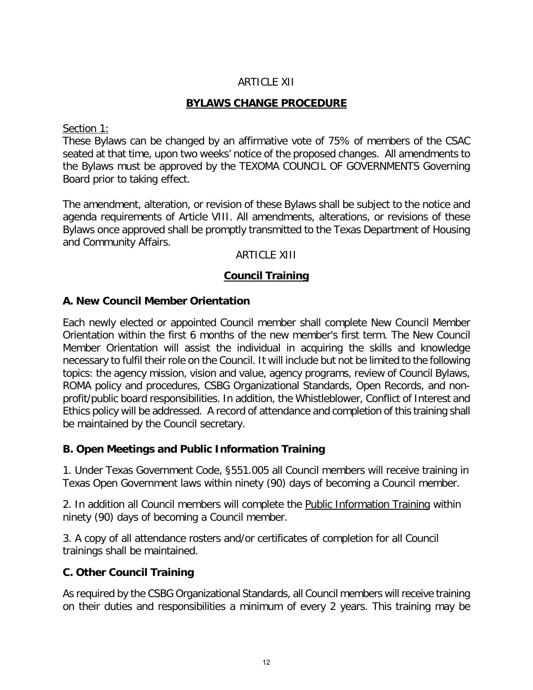### ARTICLE XII

### **BYLAWS CHANGE PROCEDURE**

#### Section 1:

These Bylaws can be changed by an affirmative vote of 75% of members of the CSAC seated at that time, upon two weeks' notice of the proposed changes. All amendments to the Bylaws must be approved by the TEXOMA COUNCIL OF GOVERNMENTS Governing Board prior to taking effect.

The amendment, alteration, or revision of these Bylaws shall be subject to the notice and agenda requirements of Article VIII. All amendments, alterations, or revisions of these Bylaws once approved shall be promptly transmitted to the Texas Department of Housing and Community Affairs.

#### ARTICLE XIII

### **Council Training**

### **A. New Council Member Orientation**

Each newly elected or appointed Council member shall complete New Council Member Orientation within the first 6 months of the new member's first term. The New Council Member Orientation will assist the individual in acquiring the skills and knowledge necessary to fulfil their role on the Council. It will include but not be limited to the following topics: the agency mission, vision and value, agency programs, review of Council Bylaws, ROMA policy and procedures, CSBG Organizational Standards, Open Records, and nonprofit/public board responsibilities. In addition, the Whistleblower, Conflict of Interest and Ethics policy will be addressed. A record of attendance and completion of this training shall be maintained by the Council secretary.

### **B. Open Meetings and Public Information Training**

1. Under Texas Government Code, §551.005 all Council members will receive training in Texas Open Government laws within ninety (90) days of becoming a Council member.

2. In addition all Council members will complete the Public Information Training within ninety (90) days of becoming a Council member.

3. A copy of all attendance rosters and/or certificates of completion for all Council trainings shall be maintained.

### **C. Other Council Training**

As required by the CSBG Organizational Standards, all Council members will receive training on their duties and responsibilities a minimum of every 2 years. This training may be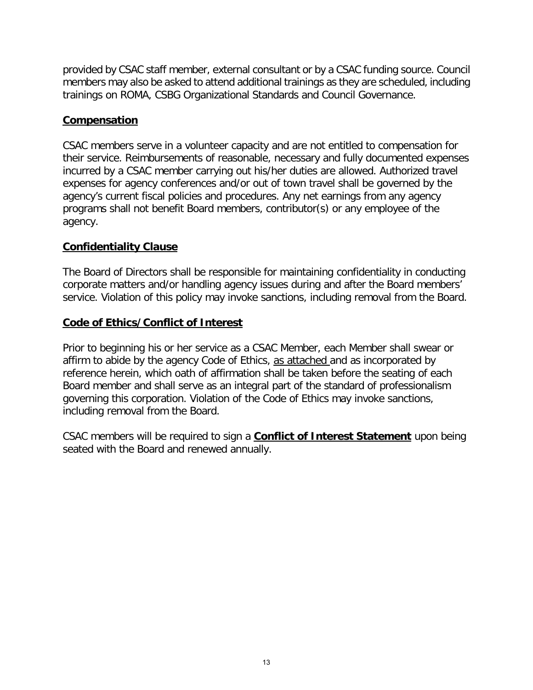provided by CSAC staff member, external consultant or by a CSAC funding source. Council members may also be asked to attend additional trainings as they are scheduled, including trainings on ROMA, CSBG Organizational Standards and Council Governance.

### **Compensation**

CSAC members serve in a volunteer capacity and are not entitled to compensation for their service. Reimbursements of reasonable, necessary and fully documented expenses incurred by a CSAC member carrying out his/her duties are allowed. Authorized travel expenses for agency conferences and/or out of town travel shall be governed by the agency's current fiscal policies and procedures. Any net earnings from any agency programs shall not benefit Board members, contributor(s) or any employee of the agency.

### **Confidentiality Clause**

The Board of Directors shall be responsible for maintaining confidentiality in conducting corporate matters and/or handling agency issues during and after the Board members' service. Violation of this policy may invoke sanctions, including removal from the Board.

### **Code of Ethics/Conflict of Interest**

Prior to beginning his or her service as a CSAC Member, each Member shall swear or affirm to abide by the agency Code of Ethics, as attached and as incorporated by reference herein, which oath of affirmation shall be taken before the seating of each Board member and shall serve as an integral part of the standard of professionalism governing this corporation. Violation of the Code of Ethics may invoke sanctions, including removal from the Board.

CSAC members will be required to sign a **Conflict of Interest Statement** upon being seated with the Board and renewed annually.